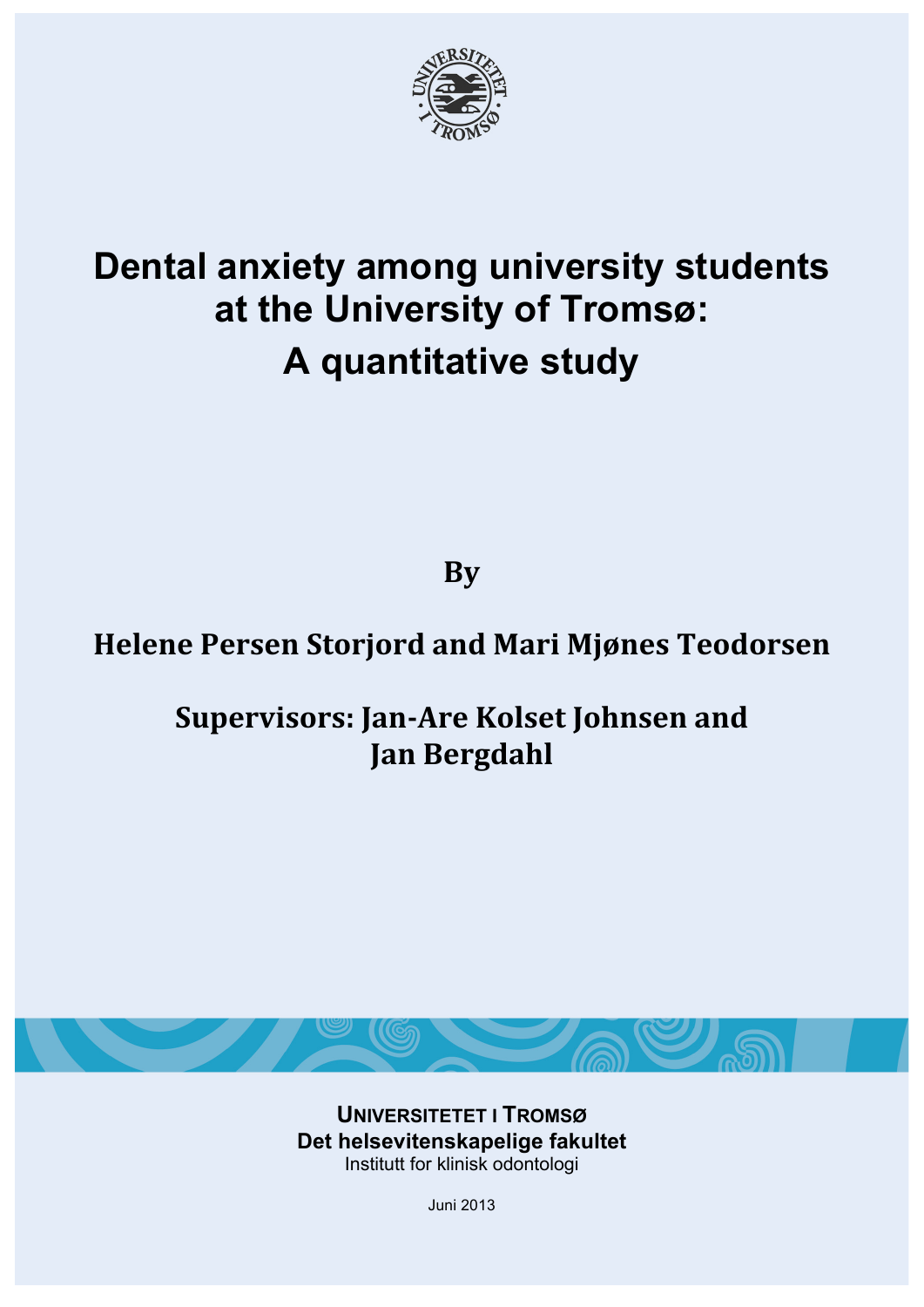

# **Dental anxiety among university students at the University of Tromsø: A quantitative study**

**By**

# **Helene!Persen!Storjord!and!Mari!Mjønes!Teodorsen**

# **Supervisors: Jan-Are Kolset Johnsen and Jan!Bergdahl**



**UNIVERSITETET I TROMSØ Det helsevitenskapelige fakultet** Institutt for klinisk odontologi

Juni 2013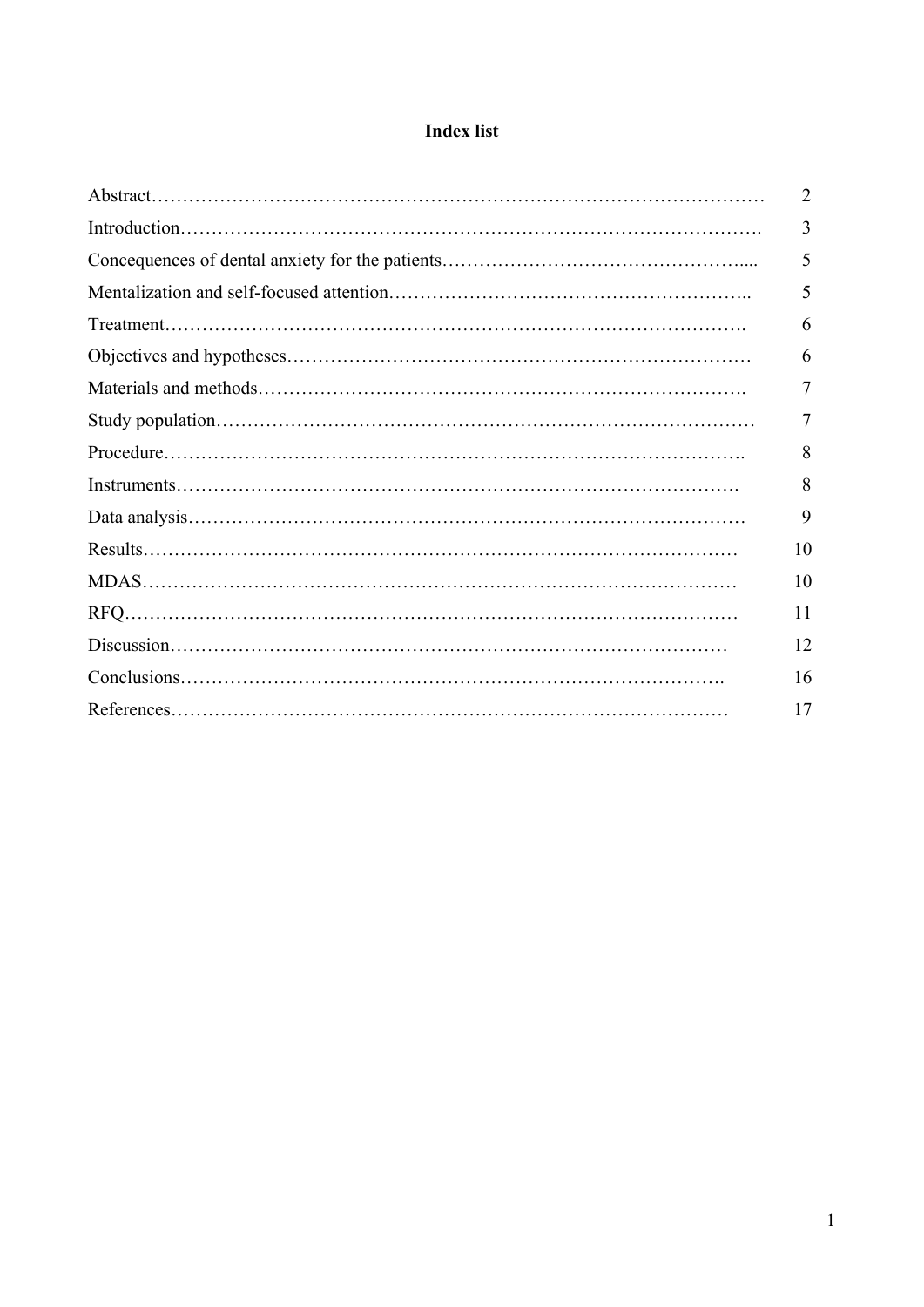# **Index list**

| 2  |
|----|
| 3  |
| 5  |
| 5  |
| 6  |
| 6  |
| 7  |
| 7  |
| 8  |
| 8  |
| 9  |
| 10 |
| 10 |
| 11 |
| 12 |
| 16 |
| 17 |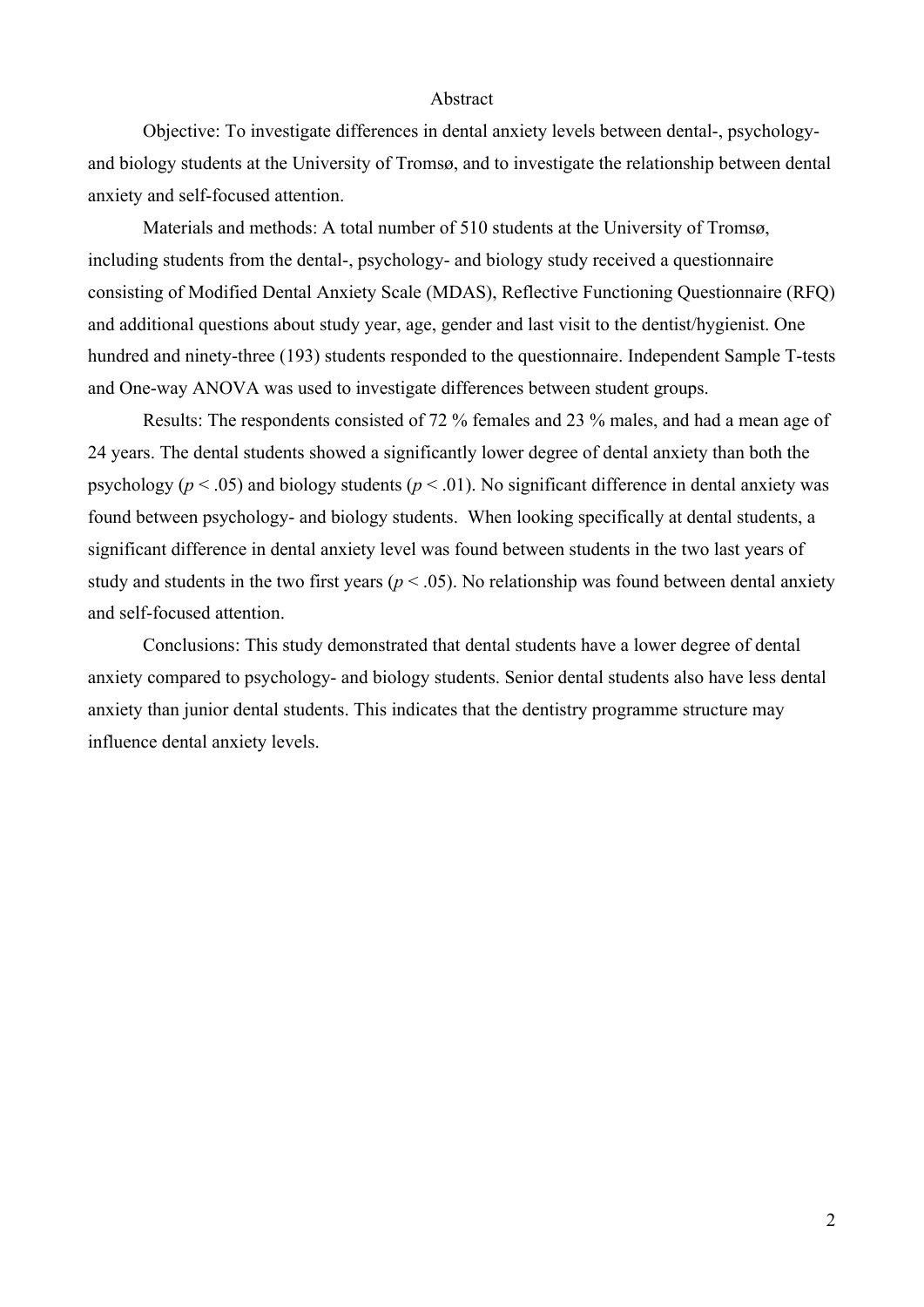## Abstract

Objective: To investigate differences in dental anxiety levels between dental-, psychologyand biology students at the University of Tromsø, and to investigate the relationship between dental anxiety and self-focused attention.

Materials and methods: A total number of 510 students at the University of Tromsø, including students from the dental-, psychology- and biology study received a questionnaire consisting of Modified Dental Anxiety Scale (MDAS), Reflective Functioning Questionnaire (RFQ) and additional questions about study year, age, gender and last visit to the dentist/hygienist. One hundred and ninety-three (193) students responded to the questionnaire. Independent Sample T-tests and One-way ANOVA was used to investigate differences between student groups.

Results: The respondents consisted of 72 % females and 23 % males, and had a mean age of 24 years. The dental students showed a significantly lower degree of dental anxiety than both the psychology ( $p < .05$ ) and biology students ( $p < .01$ ). No significant difference in dental anxiety was found between psychology- and biology students. When looking specifically at dental students, a significant difference in dental anxiety level was found between students in the two last years of study and students in the two first years ( $p < .05$ ). No relationship was found between dental anxiety and self-focused attention.

Conclusions: This study demonstrated that dental students have a lower degree of dental anxiety compared to psychology- and biology students. Senior dental students also have less dental anxiety than junior dental students. This indicates that the dentistry programme structure may influence dental anxiety levels.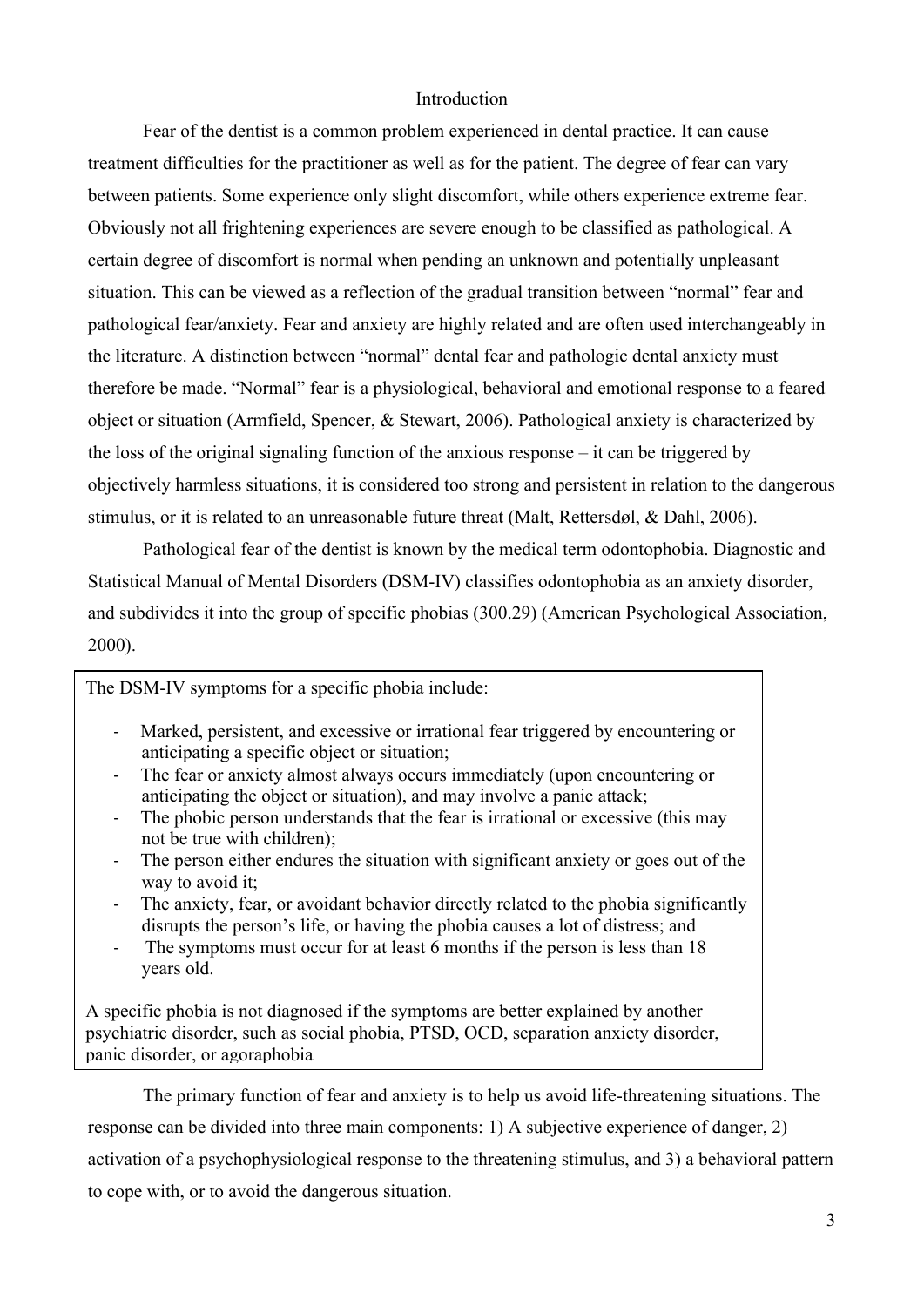# Introduction

Fear of the dentist is a common problem experienced in dental practice. It can cause treatment difficulties for the practitioner as well as for the patient. The degree of fear can vary between patients. Some experience only slight discomfort, while others experience extreme fear. Obviously not all frightening experiences are severe enough to be classified as pathological. A certain degree of discomfort is normal when pending an unknown and potentially unpleasant situation. This can be viewed as a reflection of the gradual transition between "normal" fear and pathological fear/anxiety. Fear and anxiety are highly related and are often used interchangeably in the literature. A distinction between "normal" dental fear and pathologic dental anxiety must therefore be made. "Normal" fear is a physiological, behavioral and emotional response to a feared object or situation (Armfield, Spencer, & Stewart, 2006). Pathological anxiety is characterized by the loss of the original signaling function of the anxious response – it can be triggered by objectively harmless situations, it is considered too strong and persistent in relation to the dangerous stimulus, or it is related to an unreasonable future threat (Malt, Rettersdøl, & Dahl, 2006).

Pathological fear of the dentist is known by the medical term odontophobia. Diagnostic and Statistical Manual of Mental Disorders (DSM-IV) classifies odontophobia as an anxiety disorder, and subdivides it into the group of specific phobias (300.29) (American Psychological Association, 2000).

The DSM-IV symptoms for a specific phobia include:

- ! Marked, persistent, and excessive or irrational fear triggered by encountering or anticipating a specific object or situation;
- ! The fear or anxiety almost always occurs immediately (upon encountering or anticipating the object or situation), and may involve a panic attack;
- ! The phobic person understands that the fear is irrational or excessive (this may not be true with children);
- ! The person either endures the situation with significant anxiety or goes out of the way to avoid it:
- ! The anxiety, fear, or avoidant behavior directly related to the phobia significantly disrupts the person's life, or having the phobia causes a lot of distress; and
- ! The symptoms must occur for at least 6 months if the person is less than 18 years old.

A specific phobia is not diagnosed if the symptoms are better explained by another psychiatric disorder, such as social phobia, PTSD, OCD, separation anxiety disorder, panic disorder, or agoraphobia

The primary function of fear and anxiety is to help us avoid life-threatening situations. The response can be divided into three main components: 1) A subjective experience of danger, 2) activation of a psychophysiological response to the threatening stimulus, and 3) a behavioral pattern to cope with, or to avoid the dangerous situation.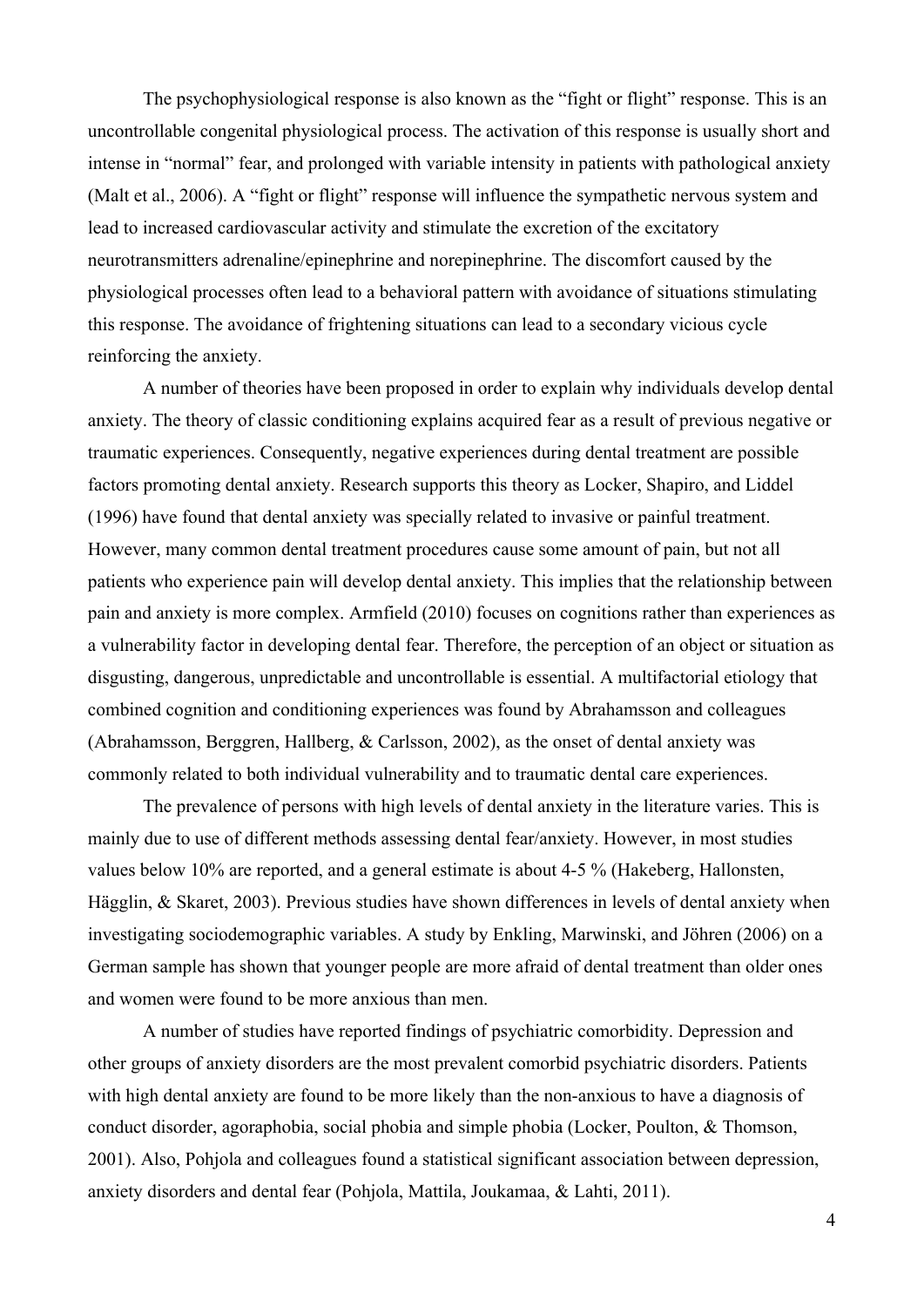The psychophysiological response is also known as the "fight or flight" response. This is an uncontrollable congenital physiological process. The activation of this response is usually short and intense in "normal" fear, and prolonged with variable intensity in patients with pathological anxiety (Malt et al., 2006). A "fight or flight" response will influence the sympathetic nervous system and lead to increased cardiovascular activity and stimulate the excretion of the excitatory neurotransmitters adrenaline/epinephrine and norepinephrine. The discomfort caused by the physiological processes often lead to a behavioral pattern with avoidance of situations stimulating this response. The avoidance of frightening situations can lead to a secondary vicious cycle reinforcing the anxiety.

A number of theories have been proposed in order to explain why individuals develop dental anxiety. The theory of classic conditioning explains acquired fear as a result of previous negative or traumatic experiences. Consequently, negative experiences during dental treatment are possible factors promoting dental anxiety. Research supports this theory as Locker, Shapiro, and Liddel (1996) have found that dental anxiety was specially related to invasive or painful treatment. However, many common dental treatment procedures cause some amount of pain, but not all patients who experience pain will develop dental anxiety. This implies that the relationship between pain and anxiety is more complex. Armfield (2010) focuses on cognitions rather than experiences as a vulnerability factor in developing dental fear. Therefore, the perception of an object or situation as disgusting, dangerous, unpredictable and uncontrollable is essential. A multifactorial etiology that combined cognition and conditioning experiences was found by Abrahamsson and colleagues (Abrahamsson, Berggren, Hallberg, & Carlsson, 2002), as the onset of dental anxiety was commonly related to both individual vulnerability and to traumatic dental care experiences.

The prevalence of persons with high levels of dental anxiety in the literature varies. This is mainly due to use of different methods assessing dental fear/anxiety. However, in most studies values below 10% are reported, and a general estimate is about 4-5 % (Hakeberg, Hallonsten, Hägglin, & Skaret, 2003). Previous studies have shown differences in levels of dental anxiety when investigating sociodemographic variables. A study by Enkling, Marwinski, and Jöhren (2006) on a German sample has shown that younger people are more afraid of dental treatment than older ones and women were found to be more anxious than men.

A number of studies have reported findings of psychiatric comorbidity. Depression and other groups of anxiety disorders are the most prevalent comorbid psychiatric disorders. Patients with high dental anxiety are found to be more likely than the non-anxious to have a diagnosis of conduct disorder, agoraphobia, social phobia and simple phobia (Locker, Poulton, & Thomson, 2001). Also, Pohjola and colleagues found a statistical significant association between depression, anxiety disorders and dental fear (Pohjola, Mattila, Joukamaa, & Lahti, 2011).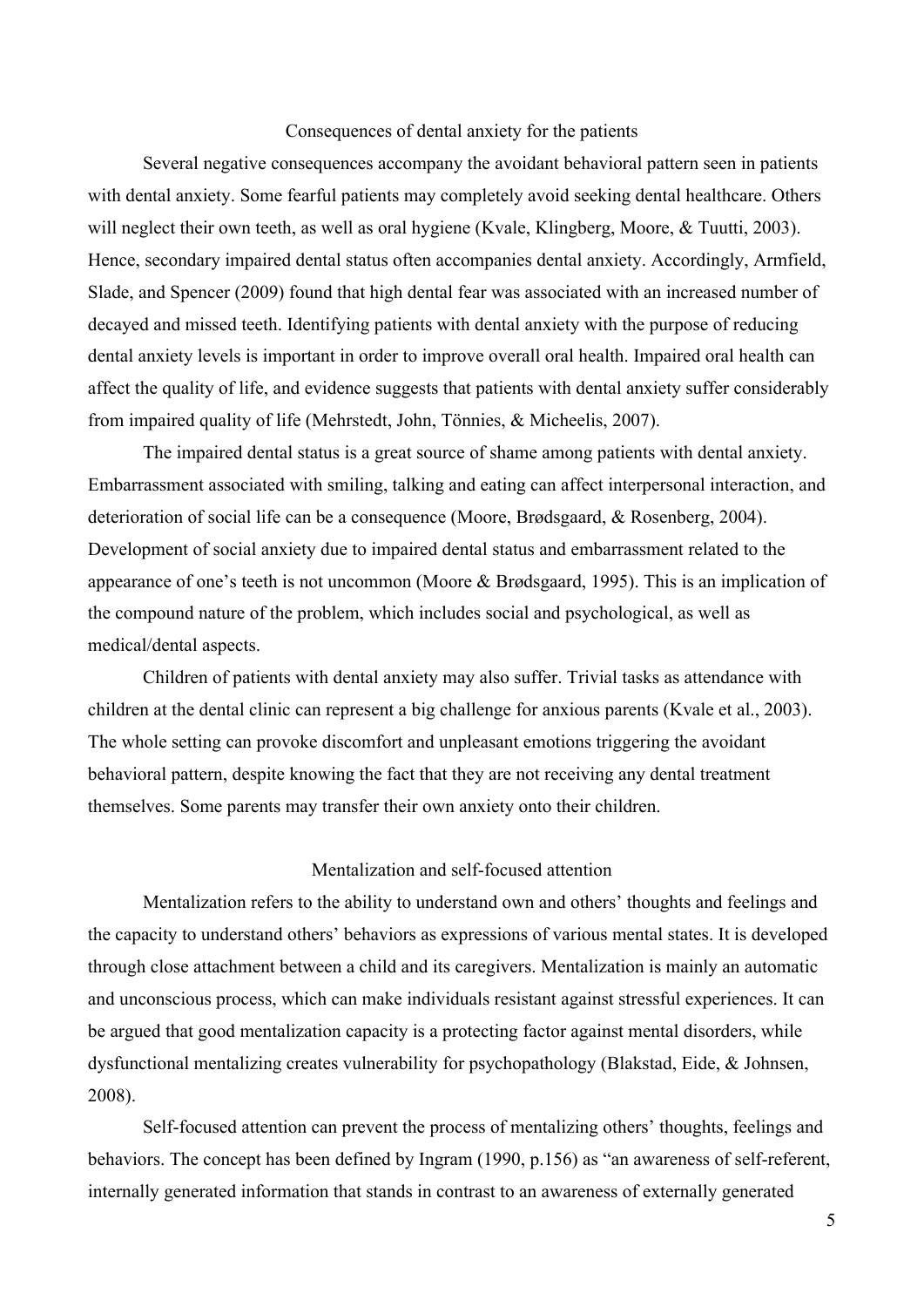#### Consequences of dental anxiety for the patients

Several negative consequences accompany the avoidant behavioral pattern seen in patients with dental anxiety. Some fearful patients may completely avoid seeking dental healthcare. Others will neglect their own teeth, as well as oral hygiene (Kvale, Klingberg, Moore, & Tuutti, 2003). Hence, secondary impaired dental status often accompanies dental anxiety. Accordingly, Armfield, Slade, and Spencer (2009) found that high dental fear was associated with an increased number of decayed and missed teeth. Identifying patients with dental anxiety with the purpose of reducing dental anxiety levels is important in order to improve overall oral health. Impaired oral health can affect the quality of life, and evidence suggests that patients with dental anxiety suffer considerably from impaired quality of life (Mehrstedt, John, Tönnies, & Micheelis, 2007).

The impaired dental status is a great source of shame among patients with dental anxiety. Embarrassment associated with smiling, talking and eating can affect interpersonal interaction, and deterioration of social life can be a consequence (Moore, Brødsgaard, & Rosenberg, 2004). Development of social anxiety due to impaired dental status and embarrassment related to the appearance of one's teeth is not uncommon (Moore & Brødsgaard, 1995). This is an implication of the compound nature of the problem, which includes social and psychological, as well as medical/dental aspects.

Children of patients with dental anxiety may also suffer. Trivial tasks as attendance with children at the dental clinic can represent a big challenge for anxious parents (Kvale et al., 2003). The whole setting can provoke discomfort and unpleasant emotions triggering the avoidant behavioral pattern, despite knowing the fact that they are not receiving any dental treatment themselves. Some parents may transfer their own anxiety onto their children.

#### Mentalization and self-focused attention

Mentalization refers to the ability to understand own and others' thoughts and feelings and the capacity to understand others' behaviors as expressions of various mental states. It is developed through close attachment between a child and its caregivers. Mentalization is mainly an automatic and unconscious process, which can make individuals resistant against stressful experiences. It can be argued that good mentalization capacity is a protecting factor against mental disorders, while dysfunctional mentalizing creates vulnerability for psychopathology (Blakstad, Eide, & Johnsen, 2008).

Self-focused attention can prevent the process of mentalizing others' thoughts, feelings and behaviors. The concept has been defined by Ingram (1990, p.156) as "an awareness of self-referent, internally generated information that stands in contrast to an awareness of externally generated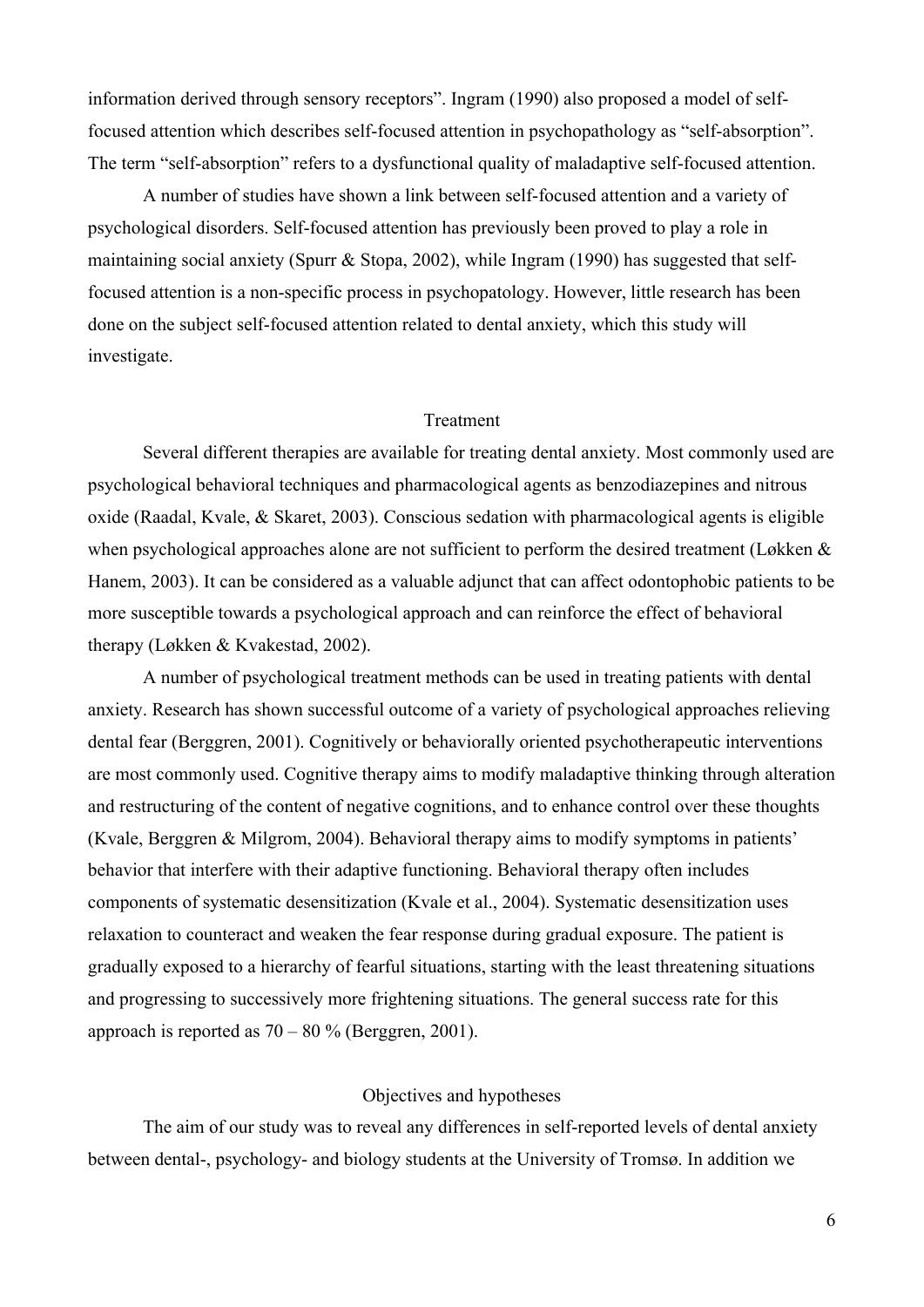information derived through sensory receptors". Ingram (1990) also proposed a model of selffocused attention which describes self-focused attention in psychopathology as "self-absorption". The term "self-absorption" refers to a dysfunctional quality of maladaptive self-focused attention.

A number of studies have shown a link between self-focused attention and a variety of psychological disorders. Self-focused attention has previously been proved to play a role in maintaining social anxiety (Spurr & Stopa, 2002), while Ingram (1990) has suggested that selffocused attention is a non-specific process in psychopatology. However, little research has been done on the subject self-focused attention related to dental anxiety, which this study will investigate.

#### Treatment

Several different therapies are available for treating dental anxiety. Most commonly used are psychological behavioral techniques and pharmacological agents as benzodiazepines and nitrous oxide (Raadal, Kvale, & Skaret, 2003). Conscious sedation with pharmacological agents is eligible when psychological approaches alone are not sufficient to perform the desired treatment (Løkken & Hanem, 2003). It can be considered as a valuable adjunct that can affect odontophobic patients to be more susceptible towards a psychological approach and can reinforce the effect of behavioral therapy (Løkken & Kvakestad, 2002).

A number of psychological treatment methods can be used in treating patients with dental anxiety. Research has shown successful outcome of a variety of psychological approaches relieving dental fear (Berggren, 2001). Cognitively or behaviorally oriented psychotherapeutic interventions are most commonly used. Cognitive therapy aims to modify maladaptive thinking through alteration and restructuring of the content of negative cognitions, and to enhance control over these thoughts (Kvale, Berggren & Milgrom, 2004). Behavioral therapy aims to modify symptoms in patients' behavior that interfere with their adaptive functioning. Behavioral therapy often includes components of systematic desensitization (Kvale et al., 2004). Systematic desensitization uses relaxation to counteract and weaken the fear response during gradual exposure. The patient is gradually exposed to a hierarchy of fearful situations, starting with the least threatening situations and progressing to successively more frightening situations. The general success rate for this approach is reported as  $70 - 80$  % (Berggren, 2001).

## Objectives and hypotheses

The aim of our study was to reveal any differences in self-reported levels of dental anxiety between dental-, psychology- and biology students at the University of Tromsø. In addition we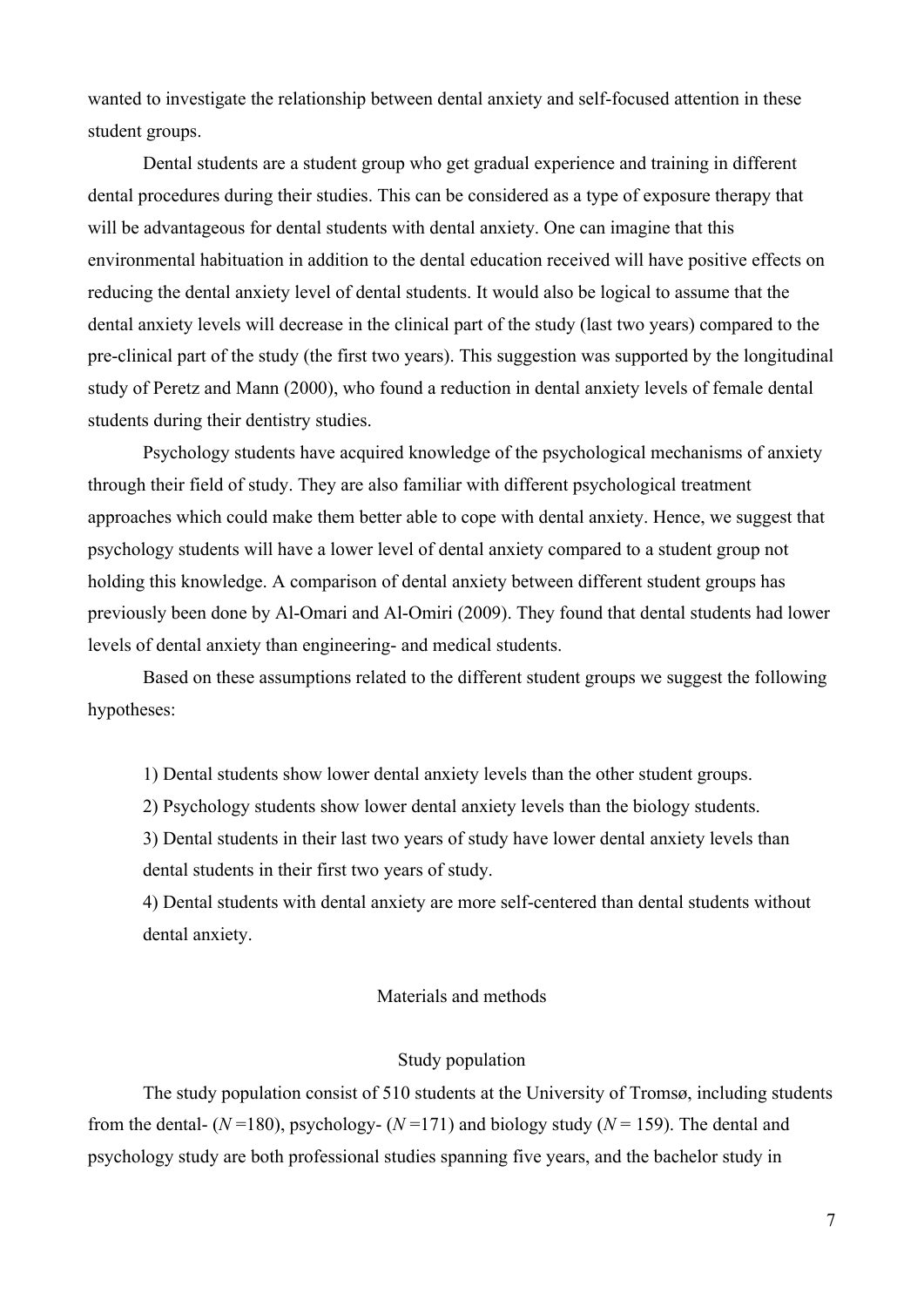wanted to investigate the relationship between dental anxiety and self-focused attention in these student groups.

Dental students are a student group who get gradual experience and training in different dental procedures during their studies. This can be considered as a type of exposure therapy that will be advantageous for dental students with dental anxiety. One can imagine that this environmental habituation in addition to the dental education received will have positive effects on reducing the dental anxiety level of dental students. It would also be logical to assume that the dental anxiety levels will decrease in the clinical part of the study (last two years) compared to the pre-clinical part of the study (the first two years). This suggestion was supported by the longitudinal study of Peretz and Mann (2000), who found a reduction in dental anxiety levels of female dental students during their dentistry studies.

Psychology students have acquired knowledge of the psychological mechanisms of anxiety through their field of study. They are also familiar with different psychological treatment approaches which could make them better able to cope with dental anxiety. Hence, we suggest that psychology students will have a lower level of dental anxiety compared to a student group not holding this knowledge. A comparison of dental anxiety between different student groups has previously been done by Al-Omari and Al-Omiri (2009). They found that dental students had lower levels of dental anxiety than engineering- and medical students.

Based on these assumptions related to the different student groups we suggest the following hypotheses:

1) Dental students show lower dental anxiety levels than the other student groups.

2) Psychology students show lower dental anxiety levels than the biology students.

3) Dental students in their last two years of study have lower dental anxiety levels than dental students in their first two years of study.

4) Dental students with dental anxiety are more self-centered than dental students without dental anxiety.

# Materials and methods

#### Study population

The study population consist of 510 students at the University of Tromsø, including students from the dental-  $(N=180)$ , psychology-  $(N=171)$  and biology study  $(N=159)$ . The dental and psychology study are both professional studies spanning five years, and the bachelor study in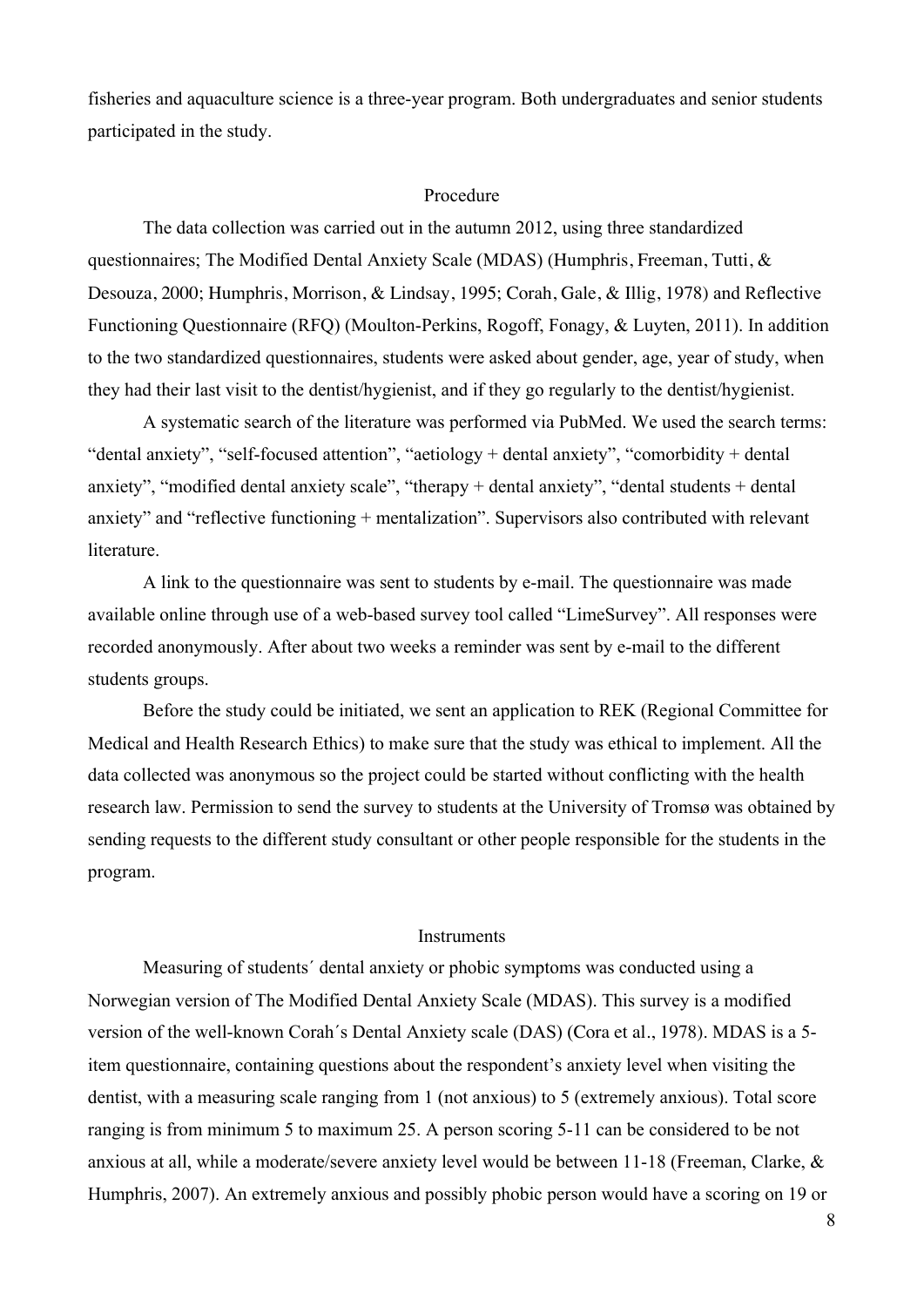fisheries and aquaculture science is a three-year program. Both undergraduates and senior students participated in the study.

#### Procedure

The data collection was carried out in the autumn 2012, using three standardized questionnaires; The Modified Dental Anxiety Scale (MDAS) (Humphris, Freeman, Tutti, & Desouza, 2000; Humphris, Morrison, & Lindsay, 1995; Corah, Gale, & Illig, 1978) and Reflective Functioning Questionnaire (RFQ) (Moulton-Perkins, Rogoff, Fonagy, & Luyten, 2011). In addition to the two standardized questionnaires, students were asked about gender, age, year of study, when they had their last visit to the dentist/hygienist, and if they go regularly to the dentist/hygienist.

A systematic search of the literature was performed via PubMed. We used the search terms: "dental anxiety", "self-focused attention", "aetiology + dental anxiety", "comorbidity + dental anxiety", "modified dental anxiety scale", "therapy + dental anxiety", "dental students + dental anxiety" and "reflective functioning + mentalization". Supervisors also contributed with relevant literature.

A link to the questionnaire was sent to students by e-mail. The questionnaire was made available online through use of a web-based survey tool called "LimeSurvey". All responses were recorded anonymously. After about two weeks a reminder was sent by e-mail to the different students groups.

Before the study could be initiated, we sent an application to REK (Regional Committee for Medical and Health Research Ethics) to make sure that the study was ethical to implement. All the data collected was anonymous so the project could be started without conflicting with the health research law. Permission to send the survey to students at the University of Tromsø was obtained by sending requests to the different study consultant or other people responsible for the students in the program.

#### **Instruments**

Measuring of students´ dental anxiety or phobic symptoms was conducted using a Norwegian version of The Modified Dental Anxiety Scale (MDAS). This survey is a modified version of the well-known Corah´s Dental Anxiety scale (DAS) (Cora et al., 1978). MDAS is a 5 item questionnaire, containing questions about the respondent's anxiety level when visiting the dentist, with a measuring scale ranging from 1 (not anxious) to 5 (extremely anxious). Total score ranging is from minimum 5 to maximum 25. A person scoring 5-11 can be considered to be not anxious at all, while a moderate/severe anxiety level would be between 11-18 (Freeman, Clarke, & Humphris, 2007). An extremely anxious and possibly phobic person would have a scoring on 19 or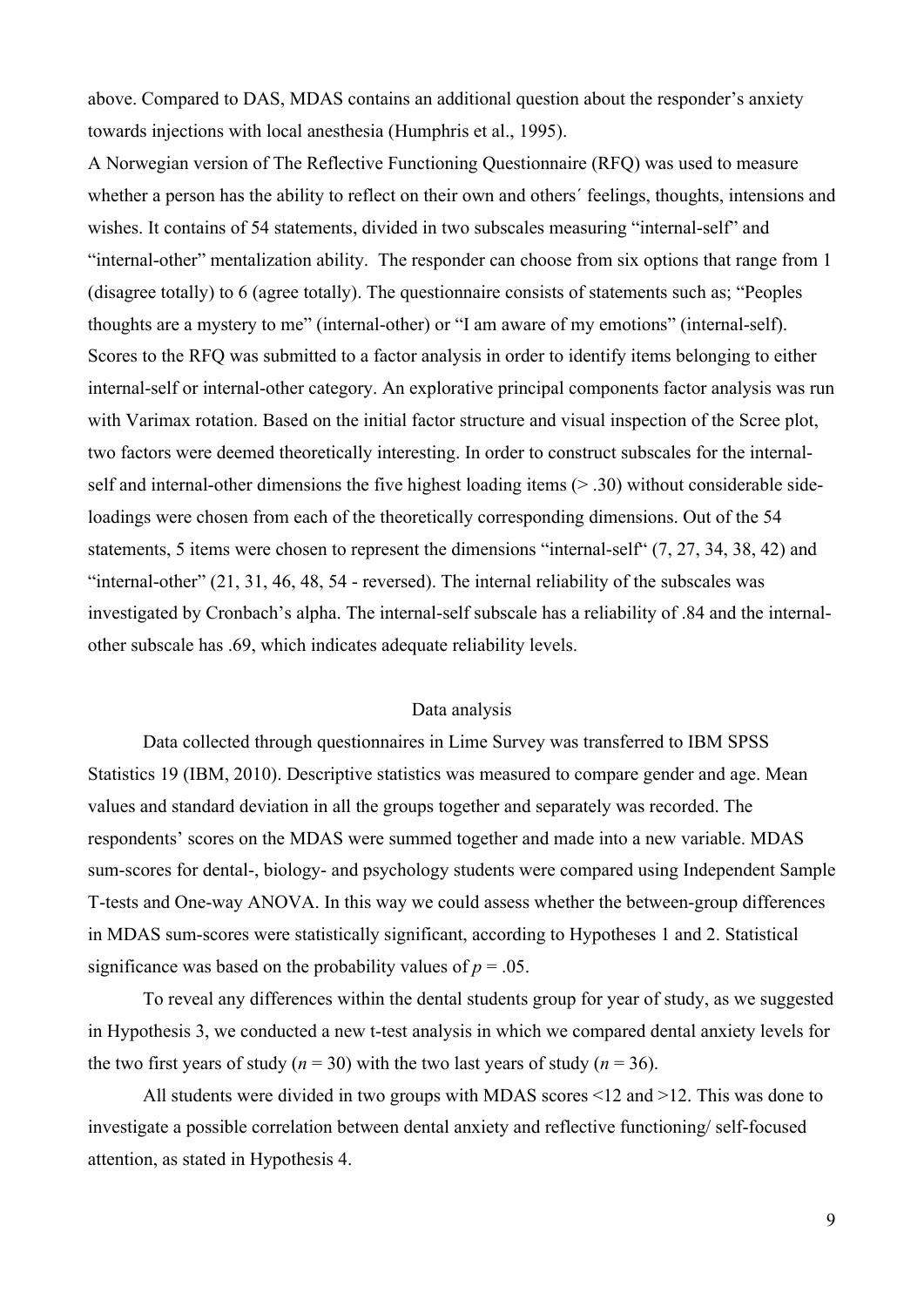above. Compared to DAS, MDAS contains an additional question about the responder's anxiety towards injections with local anesthesia (Humphris et al., 1995).

A Norwegian version of The Reflective Functioning Questionnaire (RFQ) was used to measure whether a person has the ability to reflect on their own and others´ feelings, thoughts, intensions and wishes. It contains of 54 statements, divided in two subscales measuring "internal-self" and "internal-other" mentalization ability. The responder can choose from six options that range from 1 (disagree totally) to 6 (agree totally). The questionnaire consists of statements such as; "Peoples thoughts are a mystery to me" (internal-other) or "I am aware of my emotions" (internal-self). Scores to the RFQ was submitted to a factor analysis in order to identify items belonging to either internal-self or internal-other category. An explorative principal components factor analysis was run with Varimax rotation. Based on the initial factor structure and visual inspection of the Scree plot, two factors were deemed theoretically interesting. In order to construct subscales for the internalself and internal-other dimensions the five highest loading items (> .30) without considerable sideloadings were chosen from each of the theoretically corresponding dimensions. Out of the 54 statements, 5 items were chosen to represent the dimensions "internal-self" (7, 27, 34, 38, 42) and "internal-other" (21, 31, 46, 48, 54 - reversed). The internal reliability of the subscales was investigated by Cronbach's alpha. The internal-self subscale has a reliability of .84 and the internalother subscale has .69, which indicates adequate reliability levels.

#### Data analysis

Data collected through questionnaires in Lime Survey was transferred to IBM SPSS Statistics 19 (IBM, 2010). Descriptive statistics was measured to compare gender and age. Mean values and standard deviation in all the groups together and separately was recorded. The respondents' scores on the MDAS were summed together and made into a new variable. MDAS sum-scores for dental-, biology- and psychology students were compared using Independent Sample T-tests and One-way ANOVA. In this way we could assess whether the between-group differences in MDAS sum-scores were statistically significant, according to Hypotheses 1 and 2. Statistical significance was based on the probability values of  $p = .05$ .

To reveal any differences within the dental students group for year of study, as we suggested in Hypothesis 3, we conducted a new t-test analysis in which we compared dental anxiety levels for the two first years of study ( $n = 30$ ) with the two last years of study ( $n = 36$ ).

All students were divided in two groups with MDAS scores <12 and >12. This was done to investigate a possible correlation between dental anxiety and reflective functioning/ self-focused attention, as stated in Hypothesis 4.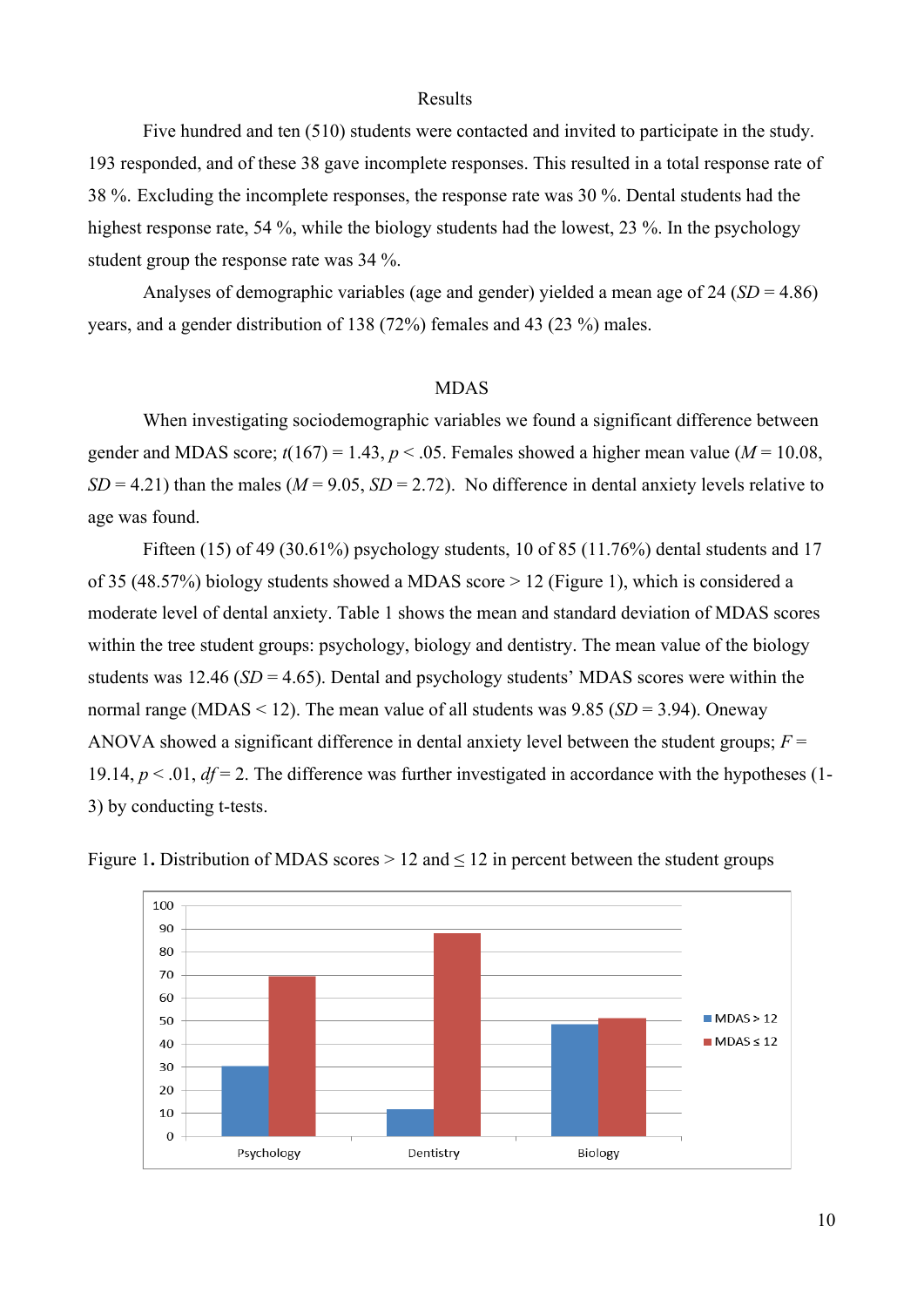#### Results

Five hundred and ten (510) students were contacted and invited to participate in the study. 193 responded, and of these 38 gave incomplete responses. This resulted in a total response rate of 38 %. Excluding the incomplete responses, the response rate was 30 %. Dental students had the highest response rate, 54 %, while the biology students had the lowest, 23 %. In the psychology student group the response rate was 34 %.

Analyses of demographic variables (age and gender) yielded a mean age of 24 (*SD* = 4.86) years, and a gender distribution of 138 (72%) females and 43 (23 %) males.

#### MDAS

When investigating sociodemographic variables we found a significant difference between gender and MDAS score;  $t(167) = 1.43$ ,  $p < .05$ . Females showed a higher mean value ( $M = 10.08$ ,  $SD = 4.21$ ) than the males ( $M = 9.05$ ,  $SD = 2.72$ ). No difference in dental anxiety levels relative to age was found.

Fifteen (15) of 49 (30.61%) psychology students, 10 of 85 (11.76%) dental students and 17 of 35 (48.57%) biology students showed a MDAS score > 12 (Figure 1), which is considered a moderate level of dental anxiety. Table 1 shows the mean and standard deviation of MDAS scores within the tree student groups: psychology, biology and dentistry. The mean value of the biology students was 12.46 ( $SD = 4.65$ ). Dental and psychology students' MDAS scores were within the normal range (MDAS  $\leq$  12). The mean value of all students was 9.85 (*SD* = 3.94). Oneway ANOVA showed a significant difference in dental anxiety level between the student groups;  $F =$ 19.14,  $p < 0.01$ ,  $df = 2$ . The difference was further investigated in accordance with the hypotheses (1-3) by conducting t-tests.



Figure 1. Distribution of MDAS scores  $> 12$  and  $< 12$  in percent between the student groups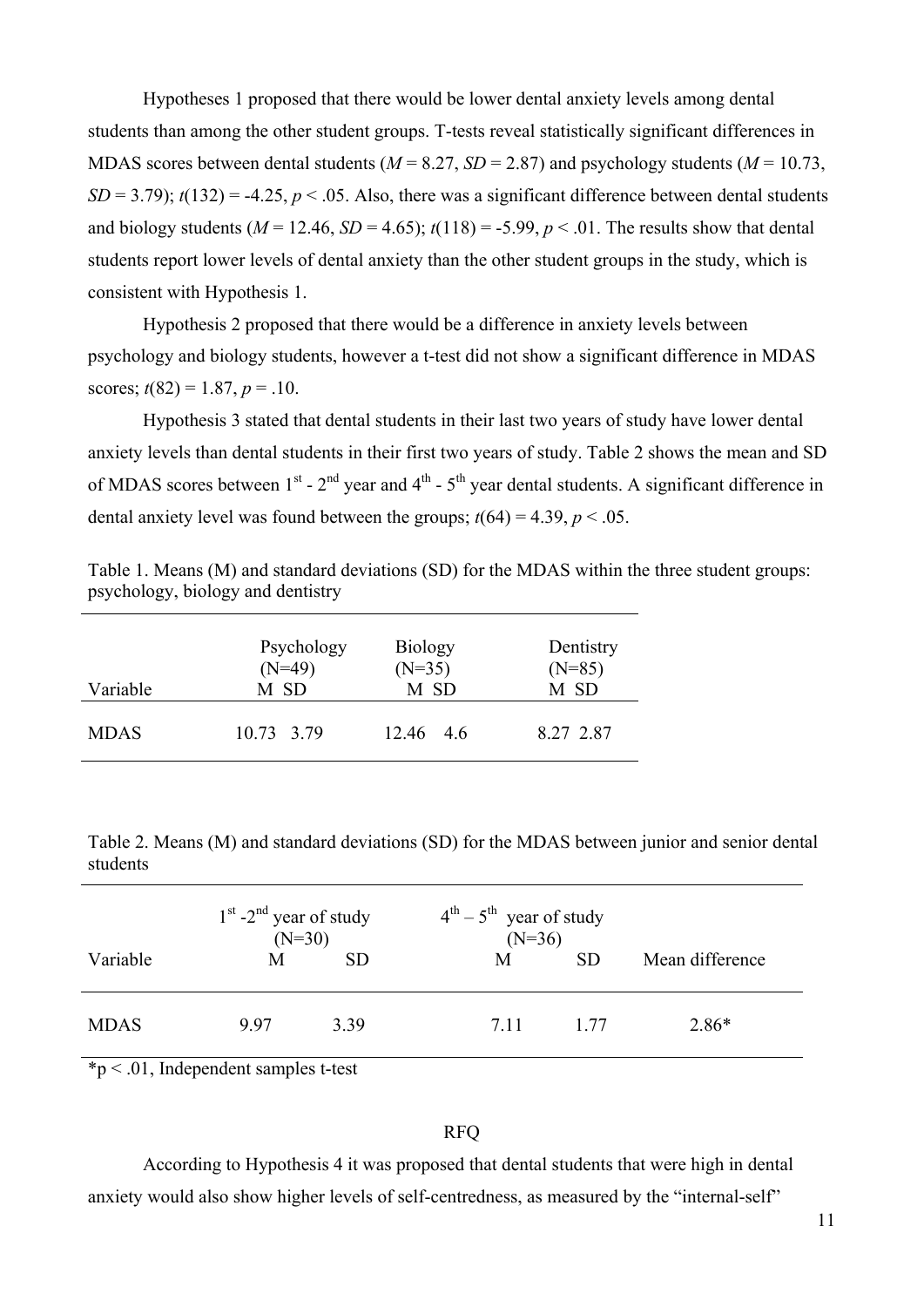Hypotheses 1 proposed that there would be lower dental anxiety levels among dental students than among the other student groups. T-tests reveal statistically significant differences in MDAS scores between dental students ( $M = 8.27$ ,  $SD = 2.87$ ) and psychology students ( $M = 10.73$ ,  $SD = 3.79$ ;  $t(132) = -4.25$ ,  $p < .05$ . Also, there was a significant difference between dental students and biology students ( $M = 12.46$ ,  $SD = 4.65$ );  $t(118) = -5.99$ ,  $p < .01$ . The results show that dental students report lower levels of dental anxiety than the other student groups in the study, which is consistent with Hypothesis 1.

Hypothesis 2 proposed that there would be a difference in anxiety levels between psychology and biology students, however a t-test did not show a significant difference in MDAS scores;  $t(82) = 1.87$ ,  $p = .10$ .

Hypothesis 3 stated that dental students in their last two years of study have lower dental anxiety levels than dental students in their first two years of study. Table 2 shows the mean and SD of MDAS scores between  $1^{st}$  -  $2^{nd}$  year and  $4^{th}$  -  $5^{th}$  year dental students. A significant difference in dental anxiety level was found between the groups;  $t(64) = 4.39$ ,  $p < .05$ .

| Variable    | Psychology | <b>Biology</b> | Dentistry |
|-------------|------------|----------------|-----------|
|             | $(N=49)$   | $(N=35)$       | $(N=85)$  |
|             | M SD       | M SD           | M SD      |
| <b>MDAS</b> | 10.73 3.79 | 12.46 4.6      | 8.27 2.87 |

Table 1. Means (M) and standard deviations (SD) for the MDAS within the three student groups: psychology, biology and dentistry

Table 2. Means (M) and standard deviations (SD) for the MDAS between junior and senior dental students

|             | $1st$ -2 <sup>nd</sup> year of study<br>$(N=30)$ |           | $4^{th} - 5^{th}$ year of study<br>$(N=36)$ |           |                 |
|-------------|--------------------------------------------------|-----------|---------------------------------------------|-----------|-----------------|
| Variable    | М                                                | <b>SD</b> | M                                           | <b>SD</b> | Mean difference |
| <b>MDAS</b> | 997                                              | 3.39      | 7.11                                        | 1 77      | $2.86*$         |

\*p < .01, Independent samples t-test

# RFQ

According to Hypothesis 4 it was proposed that dental students that were high in dental anxiety would also show higher levels of self-centredness, as measured by the "internal-self"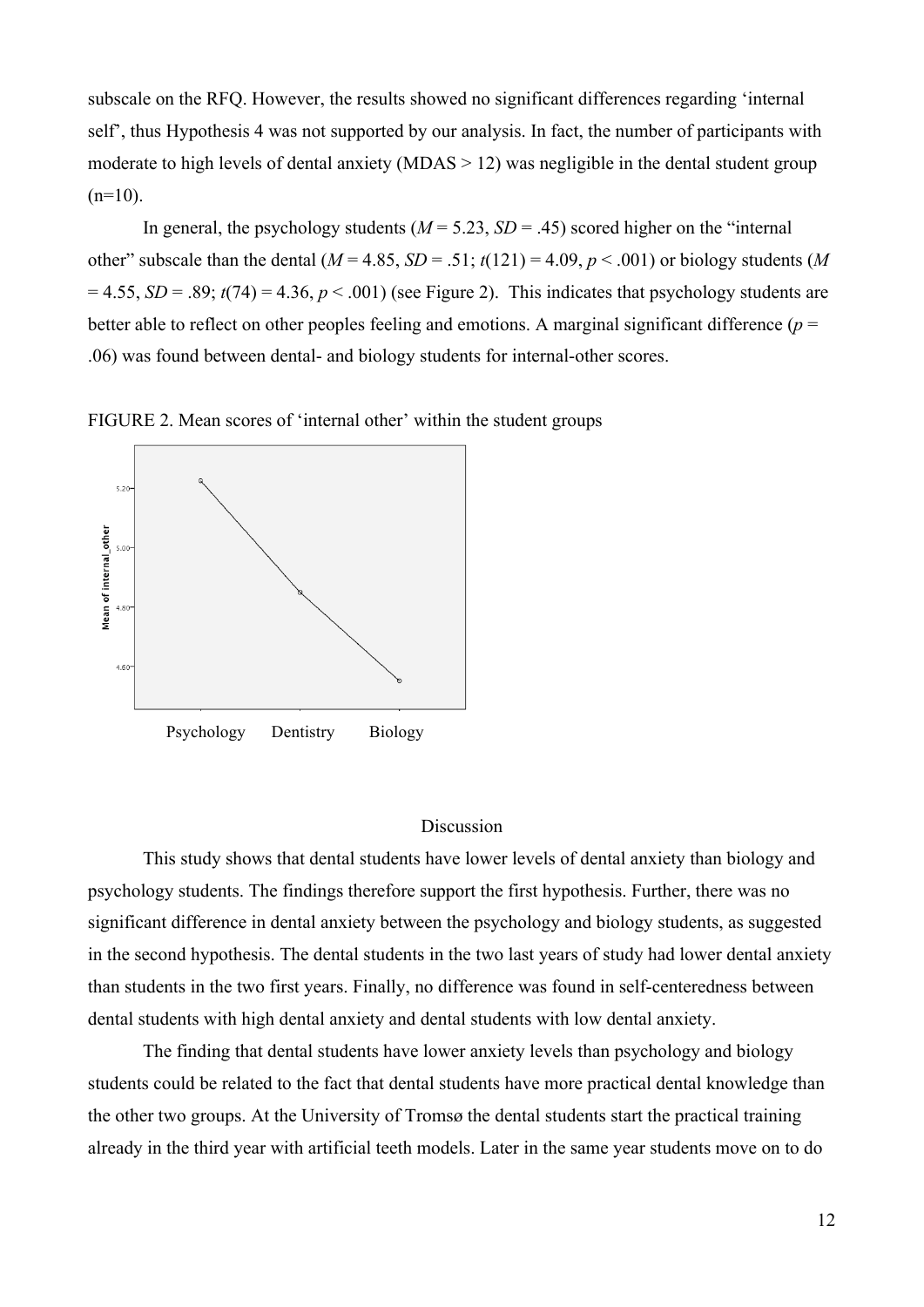subscale on the RFQ. However, the results showed no significant differences regarding 'internal self', thus Hypothesis 4 was not supported by our analysis. In fact, the number of participants with moderate to high levels of dental anxiety (MDAS > 12) was negligible in the dental student group  $(n=10)$ .

In general, the psychology students  $(M = 5.23, SD = .45)$  scored higher on the "internal" other" subscale than the dental  $(M = 4.85, SD = .51; t(121) = 4.09, p < .001)$  or biology students (*M*  $= 4.55$ , *SD* = .89;  $t(74) = 4.36$ ,  $p < .001$ ) (see Figure 2). This indicates that psychology students are better able to reflect on other peoples feeling and emotions. A marginal significant difference  $(p =$ .06) was found between dental- and biology students for internal-other scores.

FIGURE 2. Mean scores of 'internal other' within the student groups



## **Discussion**

This study shows that dental students have lower levels of dental anxiety than biology and psychology students. The findings therefore support the first hypothesis. Further, there was no significant difference in dental anxiety between the psychology and biology students, as suggested in the second hypothesis. The dental students in the two last years of study had lower dental anxiety than students in the two first years. Finally, no difference was found in self-centeredness between dental students with high dental anxiety and dental students with low dental anxiety.

The finding that dental students have lower anxiety levels than psychology and biology students could be related to the fact that dental students have more practical dental knowledge than the other two groups. At the University of Tromsø the dental students start the practical training already in the third year with artificial teeth models. Later in the same year students move on to do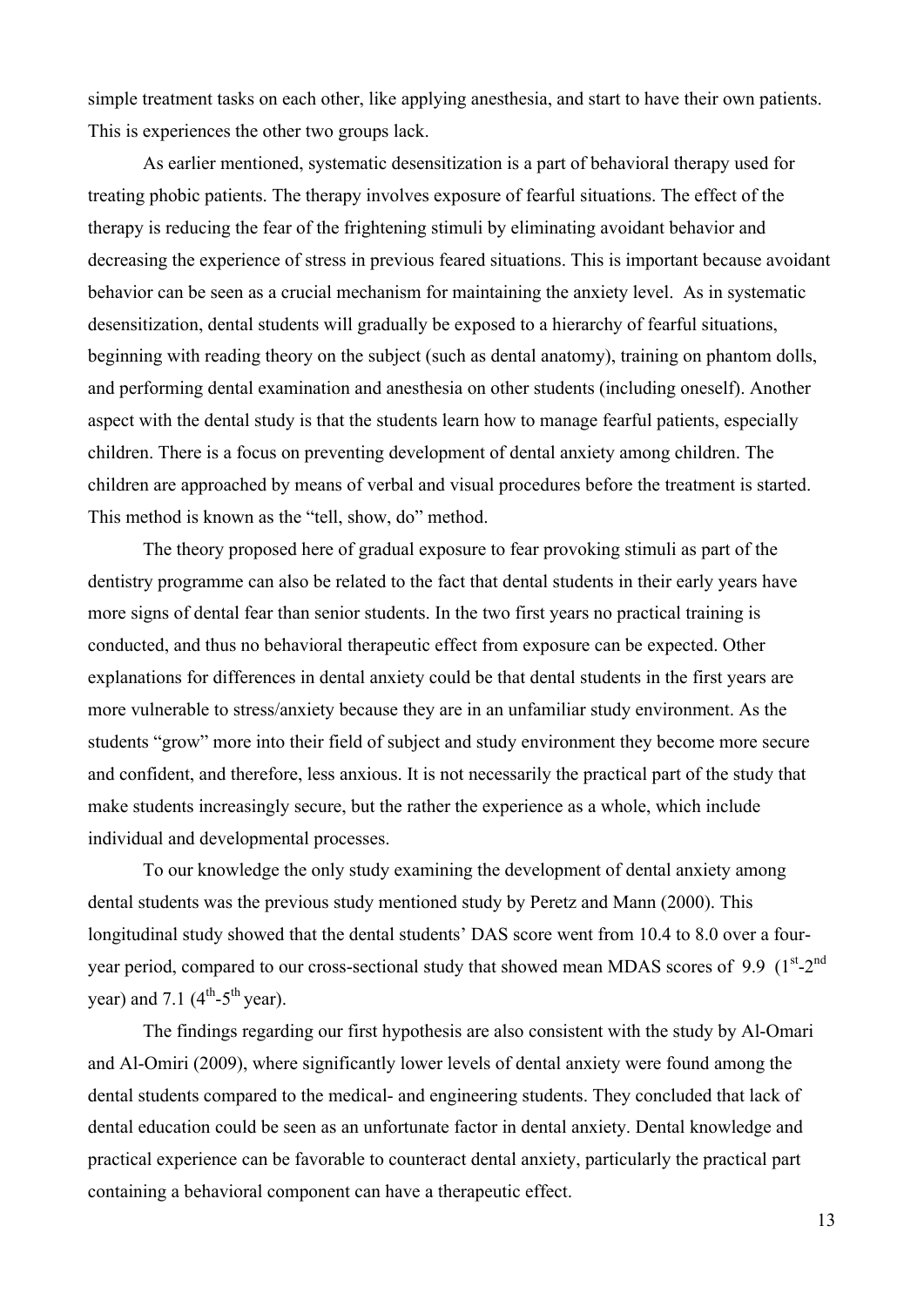simple treatment tasks on each other, like applying anesthesia, and start to have their own patients. This is experiences the other two groups lack.

As earlier mentioned, systematic desensitization is a part of behavioral therapy used for treating phobic patients. The therapy involves exposure of fearful situations. The effect of the therapy is reducing the fear of the frightening stimuli by eliminating avoidant behavior and decreasing the experience of stress in previous feared situations. This is important because avoidant behavior can be seen as a crucial mechanism for maintaining the anxiety level. As in systematic desensitization, dental students will gradually be exposed to a hierarchy of fearful situations, beginning with reading theory on the subject (such as dental anatomy), training on phantom dolls, and performing dental examination and anesthesia on other students (including oneself). Another aspect with the dental study is that the students learn how to manage fearful patients, especially children. There is a focus on preventing development of dental anxiety among children. The children are approached by means of verbal and visual procedures before the treatment is started. This method is known as the "tell, show, do" method.

The theory proposed here of gradual exposure to fear provoking stimuli as part of the dentistry programme can also be related to the fact that dental students in their early years have more signs of dental fear than senior students. In the two first years no practical training is conducted, and thus no behavioral therapeutic effect from exposure can be expected. Other explanations for differences in dental anxiety could be that dental students in the first years are more vulnerable to stress/anxiety because they are in an unfamiliar study environment. As the students "grow" more into their field of subject and study environment they become more secure and confident, and therefore, less anxious. It is not necessarily the practical part of the study that make students increasingly secure, but the rather the experience as a whole, which include individual and developmental processes.

To our knowledge the only study examining the development of dental anxiety among dental students was the previous study mentioned study by Peretz and Mann (2000). This longitudinal study showed that the dental students' DAS score went from 10.4 to 8.0 over a fouryear period, compared to our cross-sectional study that showed mean MDAS scores of 9.9  $(1^{st}-2^{nd}$ year) and 7.1  $(4<sup>th</sup>-5<sup>th</sup>$  year).

The findings regarding our first hypothesis are also consistent with the study by Al-Omari and Al-Omiri (2009), where significantly lower levels of dental anxiety were found among the dental students compared to the medical- and engineering students. They concluded that lack of dental education could be seen as an unfortunate factor in dental anxiety. Dental knowledge and practical experience can be favorable to counteract dental anxiety, particularly the practical part containing a behavioral component can have a therapeutic effect.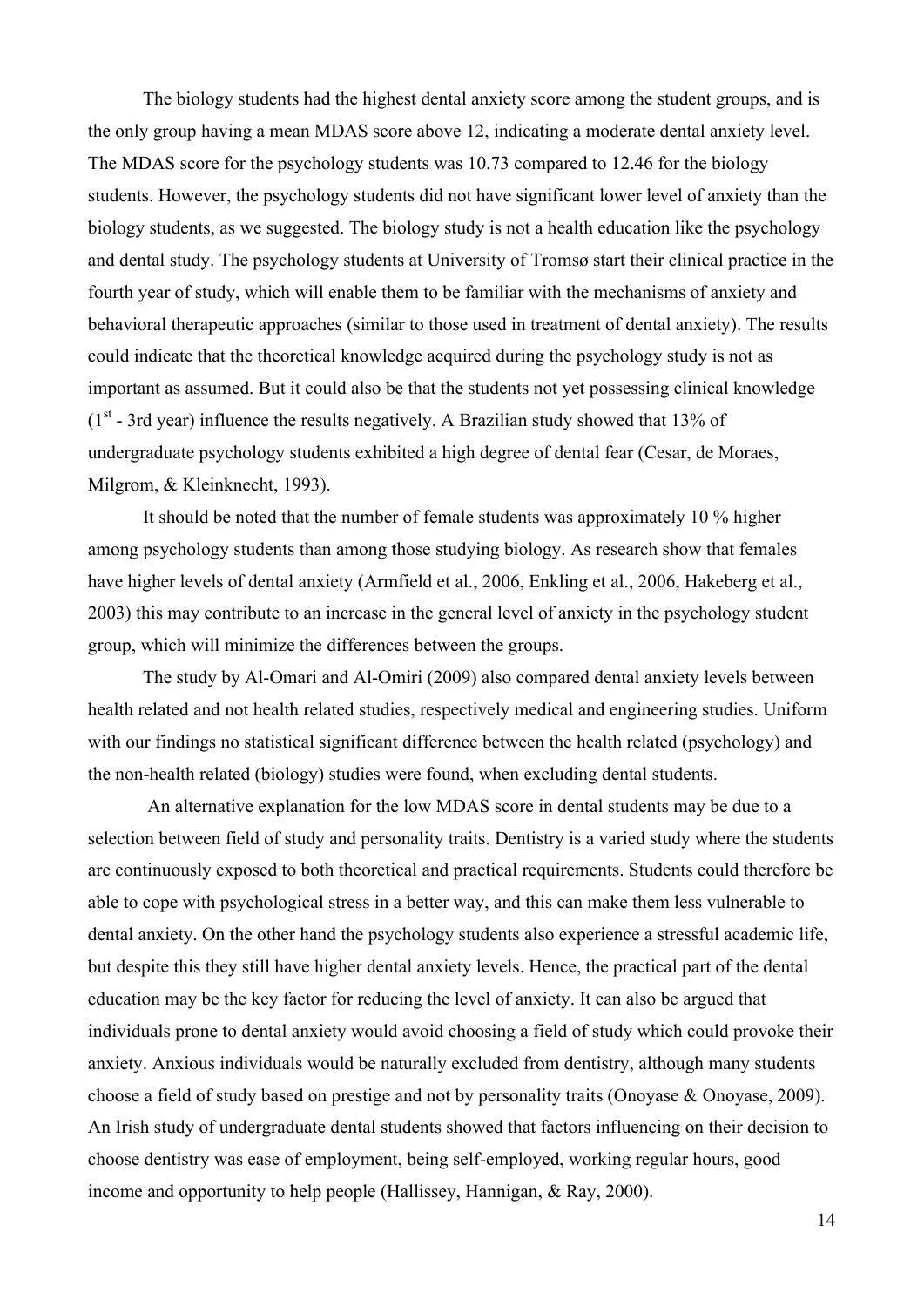The biology students had the highest dental anxiety score among the student groups, and is the only group having a mean MDAS score above 12, indicating a moderate dental anxiety level. The MDAS score for the psychology students was 10.73 compared to 12.46 for the biology students. However, the psychology students did not have significant lower level of anxiety than the biology students, as we suggested. The biology study is not a health education like the psychology and dental study. The psychology students at University of Tromsø start their clinical practice in the fourth year of study, which will enable them to be familiar with the mechanisms of anxiety and behavioral therapeutic approaches (similar to those used in treatment of dental anxiety). The results could indicate that the theoretical knowledge acquired during the psychology study is not as important as assumed. But it could also be that the students not yet possessing clinical knowledge  $(1<sup>st</sup> - 3rd$  year) influence the results negatively. A Brazilian study showed that 13% of undergraduate psychology students exhibited a high degree of dental fear (Cesar, de Moraes, Milgrom, & Kleinknecht, 1993).

It should be noted that the number of female students was approximately 10 % higher among psychology students than among those studying biology. As research show that females have higher levels of dental anxiety (Armfield et al., 2006, Enkling et al., 2006, Hakeberg et al., 2003) this may contribute to an increase in the general level of anxiety in the psychology student group, which will minimize the differences between the groups.

The study by Al-Omari and Al-Omiri (2009) also compared dental anxiety levels between health related and not health related studies, respectively medical and engineering studies. Uniform with our findings no statistical significant difference between the health related (psychology) and the non-health related (biology) studies were found, when excluding dental students.

 An alternative explanation for the low MDAS score in dental students may be due to a selection between field of study and personality traits. Dentistry is a varied study where the students are continuously exposed to both theoretical and practical requirements. Students could therefore be able to cope with psychological stress in a better way, and this can make them less vulnerable to dental anxiety. On the other hand the psychology students also experience a stressful academic life, but despite this they still have higher dental anxiety levels. Hence, the practical part of the dental education may be the key factor for reducing the level of anxiety. It can also be argued that individuals prone to dental anxiety would avoid choosing a field of study which could provoke their anxiety. Anxious individuals would be naturally excluded from dentistry, although many students choose a field of study based on prestige and not by personality traits (Onoyase & Onoyase, 2009). An Irish study of undergraduate dental students showed that factors influencing on their decision to choose dentistry was ease of employment, being self-employed, working regular hours, good income and opportunity to help people (Hallissey, Hannigan, & Ray, 2000).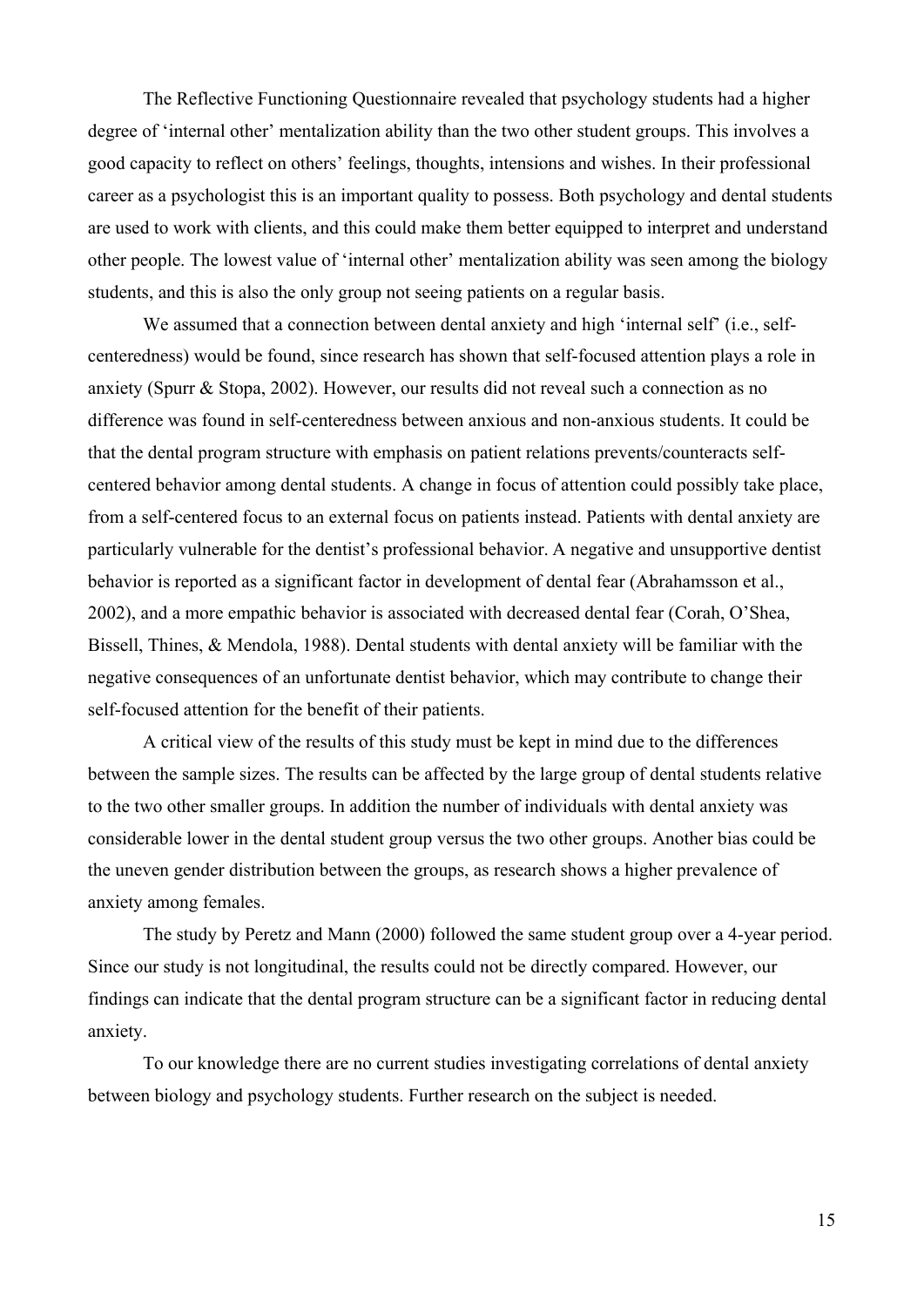The Reflective Functioning Questionnaire revealed that psychology students had a higher degree of 'internal other' mentalization ability than the two other student groups. This involves a good capacity to reflect on others' feelings, thoughts, intensions and wishes. In their professional career as a psychologist this is an important quality to possess. Both psychology and dental students are used to work with clients, and this could make them better equipped to interpret and understand other people. The lowest value of 'internal other' mentalization ability was seen among the biology students, and this is also the only group not seeing patients on a regular basis.

We assumed that a connection between dental anxiety and high 'internal self' (i.e., selfcenteredness) would be found, since research has shown that self-focused attention plays a role in anxiety (Spurr & Stopa, 2002). However, our results did not reveal such a connection as no difference was found in self-centeredness between anxious and non-anxious students. It could be that the dental program structure with emphasis on patient relations prevents/counteracts selfcentered behavior among dental students. A change in focus of attention could possibly take place, from a self-centered focus to an external focus on patients instead. Patients with dental anxiety are particularly vulnerable for the dentist's professional behavior. A negative and unsupportive dentist behavior is reported as a significant factor in development of dental fear (Abrahamsson et al., 2002), and a more empathic behavior is associated with decreased dental fear (Corah, O'Shea, Bissell, Thines, & Mendola, 1988). Dental students with dental anxiety will be familiar with the negative consequences of an unfortunate dentist behavior, which may contribute to change their self-focused attention for the benefit of their patients.

A critical view of the results of this study must be kept in mind due to the differences between the sample sizes. The results can be affected by the large group of dental students relative to the two other smaller groups. In addition the number of individuals with dental anxiety was considerable lower in the dental student group versus the two other groups. Another bias could be the uneven gender distribution between the groups, as research shows a higher prevalence of anxiety among females.

The study by Peretz and Mann (2000) followed the same student group over a 4-year period. Since our study is not longitudinal, the results could not be directly compared. However, our findings can indicate that the dental program structure can be a significant factor in reducing dental anxiety.

To our knowledge there are no current studies investigating correlations of dental anxiety between biology and psychology students. Further research on the subject is needed.

15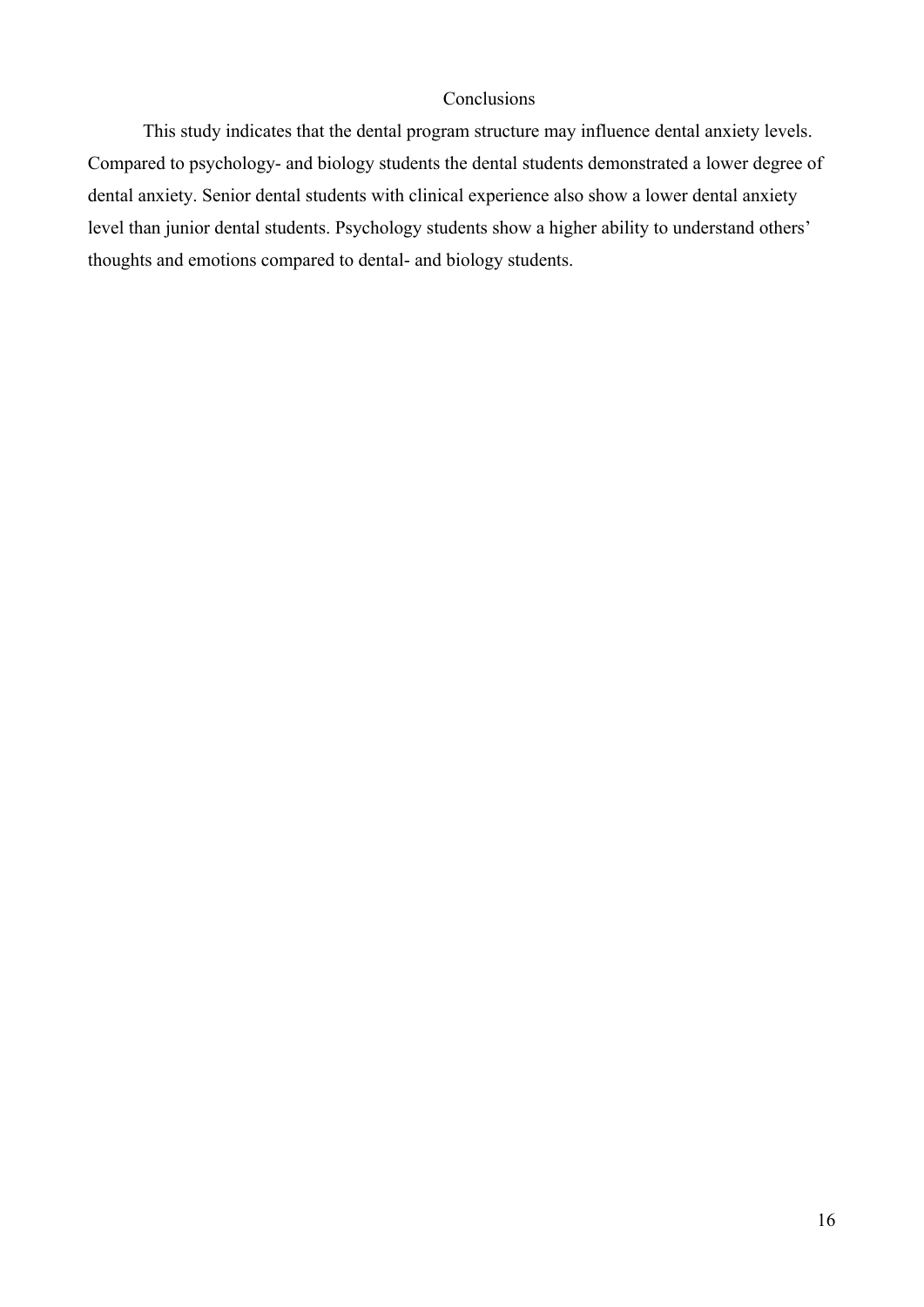# Conclusions

This study indicates that the dental program structure may influence dental anxiety levels. Compared to psychology- and biology students the dental students demonstrated a lower degree of dental anxiety. Senior dental students with clinical experience also show a lower dental anxiety level than junior dental students. Psychology students show a higher ability to understand others' thoughts and emotions compared to dental- and biology students.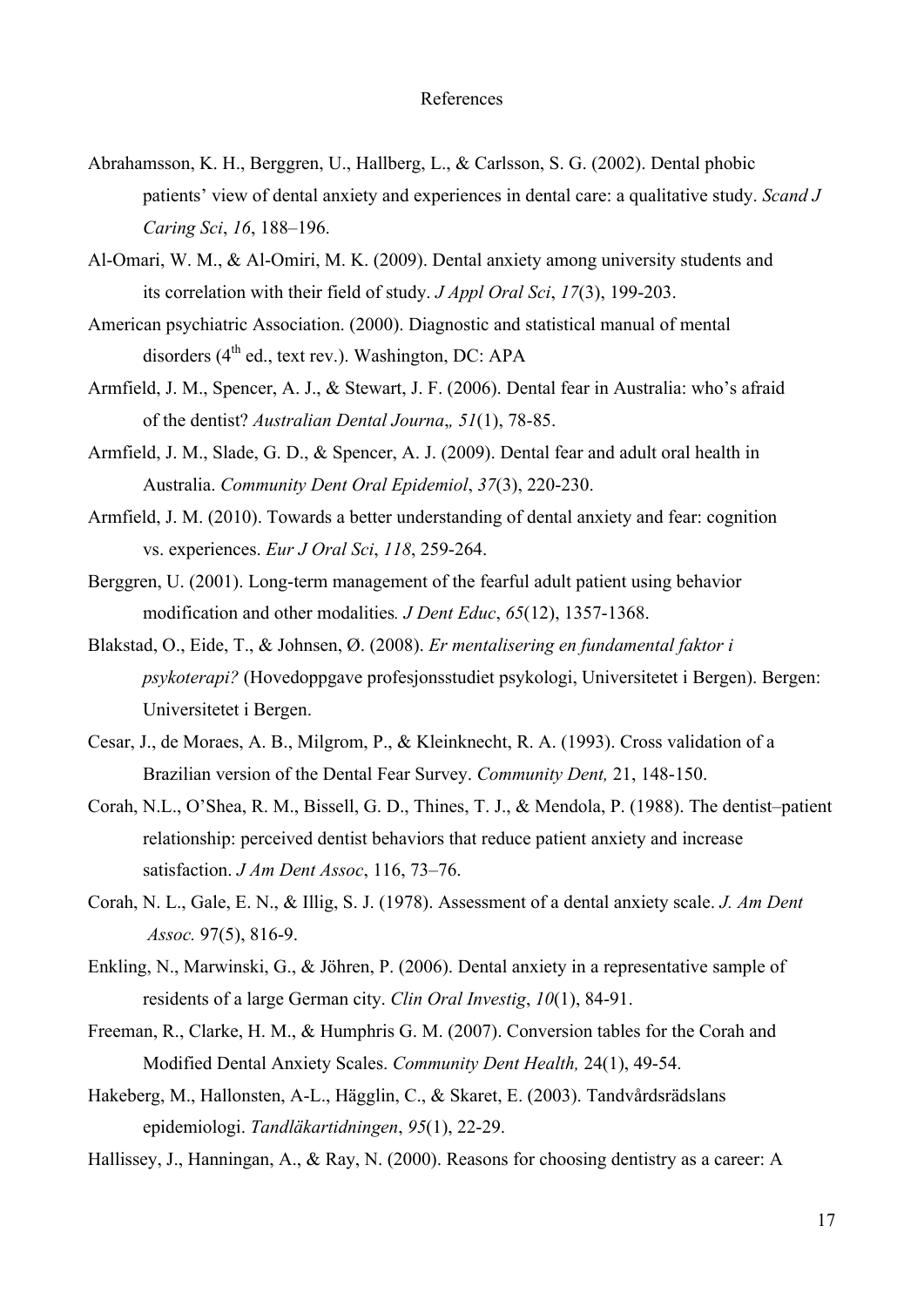# References

- Abrahamsson, K. H., Berggren, U., Hallberg, L., & Carlsson, S. G. (2002). Dental phobic patients' view of dental anxiety and experiences in dental care: a qualitative study. *Scand J Caring Sci*, *16*, 188–196.
- Al-Omari, W. M., & Al-Omiri, M. K. (2009). Dental anxiety among university students and its correlation with their field of study. *J Appl Oral Sci*, *17*(3), 199-203.
- American psychiatric Association. (2000). Diagnostic and statistical manual of mental disorders  $(4^{th}$  ed., text rev.). Washington, DC: APA
- Armfield, J. M., Spencer, A. J., & Stewart, J. F. (2006). Dental fear in Australia: who's afraid of the dentist? *Australian Dental Journa*,*, 51*(1), 78-85.
- Armfield, J. M., Slade, G. D., & Spencer, A. J. (2009). Dental fear and adult oral health in Australia. *Community Dent Oral Epidemiol*, *37*(3), 220-230.
- Armfield, J. M. (2010). Towards a better understanding of dental anxiety and fear: cognition vs. experiences. *Eur J Oral Sci*, *118*, 259-264.
- Berggren, U. (2001). Long-term management of the fearful adult patient using behavior modification and other modalities*. J Dent Educ*, *65*(12), 1357-1368.
- Blakstad, O., Eide, T., & Johnsen, Ø. (2008). *Er mentalisering en fundamental faktor i psykoterapi?* (Hovedoppgave profesjonsstudiet psykologi, Universitetet i Bergen). Bergen: Universitetet i Bergen.
- Cesar, J., de Moraes, A. B., Milgrom, P., & Kleinknecht, R. A. (1993). Cross validation of a Brazilian version of the Dental Fear Survey. *Community Dent,* 21, 148-150.
- Corah, N.L., O'Shea, R. M., Bissell, G. D., Thines, T. J., & Mendola, P. (1988). The dentist–patient relationship: perceived dentist behaviors that reduce patient anxiety and increase satisfaction. *J Am Dent Assoc*, 116, 73–76.
- Corah, N. L., Gale, E. N., & Illig, S. J. (1978). Assessment of a dental anxiety scale. *J. Am Dent Assoc.* 97(5), 816-9.
- Enkling, N., Marwinski, G., & Jöhren, P. (2006). Dental anxiety in a representative sample of residents of a large German city. *Clin Oral Investig*, *10*(1), 84-91.
- Freeman, R., Clarke, H. M., & Humphris G. M. (2007). Conversion tables for the Corah and Modified Dental Anxiety Scales. *Community Dent Health,* 24(1), 49-54.
- Hakeberg, M., Hallonsten, A-L., Hägglin, C., & Skaret, E. (2003). Tandvårdsrädslans epidemiologi. *Tandläkartidningen*, *95*(1), 22-29.
- Hallissey, J., Hanningan, A., & Ray, N. (2000). Reasons for choosing dentistry as a career: A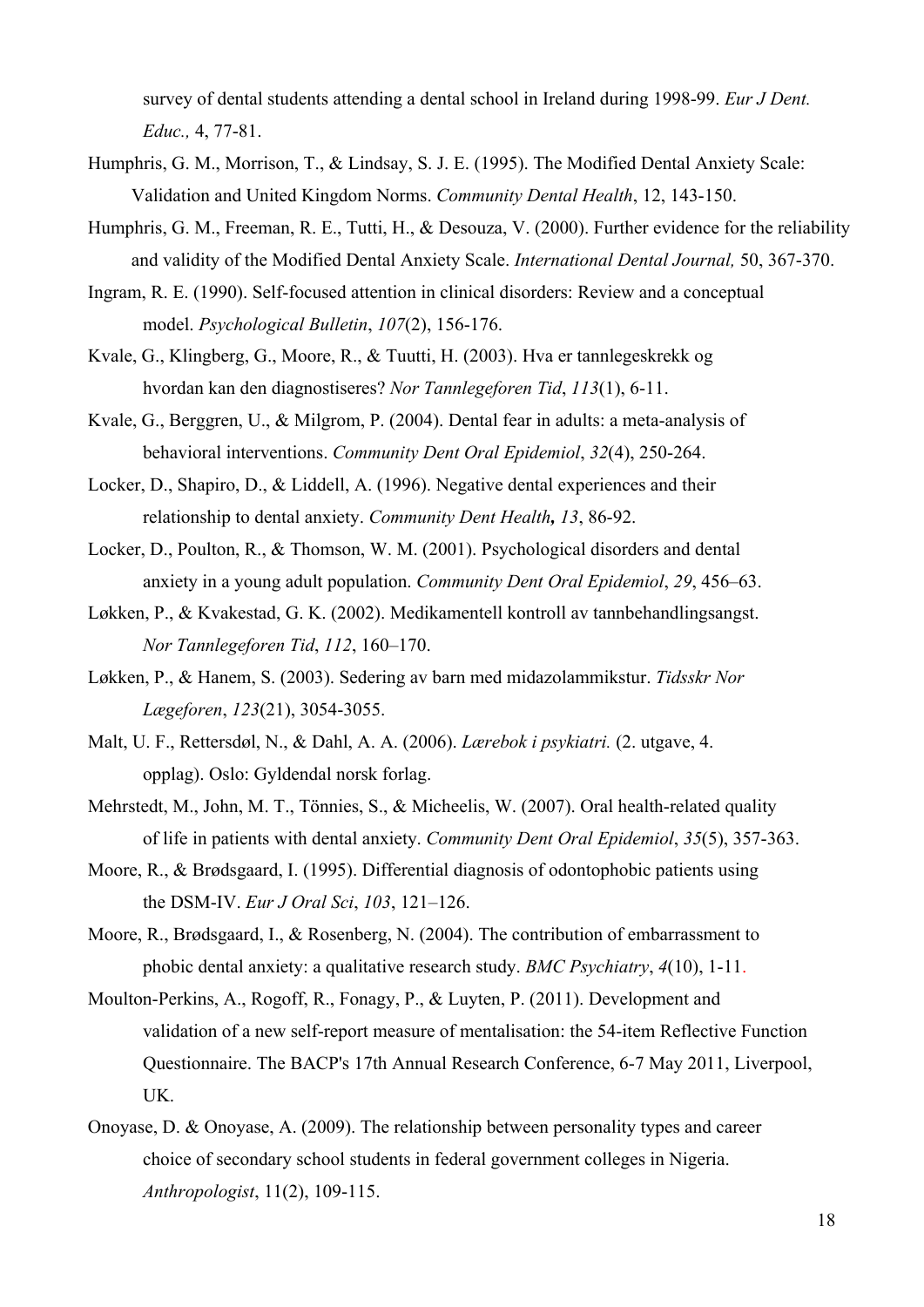survey of dental students attending a dental school in Ireland during 1998-99. *Eur J Dent. Educ.,* 4, 77-81.

- Humphris, G. M., Morrison, T., & Lindsay, S. J. E. (1995). The Modified Dental Anxiety Scale: Validation and United Kingdom Norms. *Community Dental Health*, 12, 143-150.
- Humphris, G. M., Freeman, R. E., Tutti, H., & Desouza, V. (2000). Further evidence for the reliability and validity of the Modified Dental Anxiety Scale. *International Dental Journal,* 50, 367-370.
- Ingram, R. E. (1990). Self-focused attention in clinical disorders: Review and a conceptual model. *Psychological Bulletin*, *107*(2), 156-176.
- Kvale, G., Klingberg, G., Moore, R., & Tuutti, H. (2003). Hva er tannlegeskrekk og hvordan kan den diagnostiseres? *Nor Tannlegeforen Tid*, *113*(1), 6-11.
- Kvale, G., Berggren, U., & Milgrom, P. (2004). Dental fear in adults: a meta-analysis of behavioral interventions. *Community Dent Oral Epidemiol*, *32*(4), 250-264.
- Locker, D., Shapiro, D., & Liddell, A. (1996). Negative dental experiences and their relationship to dental anxiety. *Community Dent Health, 13*, 86-92.
- Locker, D., Poulton, R., & Thomson, W. M. (2001). Psychological disorders and dental anxiety in a young adult population. *Community Dent Oral Epidemiol*, *29*, 456–63.
- Løkken, P., & Kvakestad, G. K. (2002). Medikamentell kontroll av tannbehandlingsangst. *Nor Tannlegeforen Tid*, *112*, 160–170.
- Løkken, P., & Hanem, S. (2003). Sedering av barn med midazolammikstur. *Tidsskr Nor Lægeforen*, *123*(21), 3054-3055.
- Malt, U. F., Rettersdøl, N., & Dahl, A. A. (2006). *Lærebok i psykiatri.* (2. utgave, 4. opplag). Oslo: Gyldendal norsk forlag.
- Mehrstedt, M., John, M. T., Tönnies, S., & Micheelis, W. (2007). Oral health-related quality of life in patients with dental anxiety. *Community Dent Oral Epidemiol*, *35*(5), 357-363.
- Moore, R., & Brødsgaard, I. (1995). Differential diagnosis of odontophobic patients using the DSM-IV. *Eur J Oral Sci*, *103*, 121–126.
- Moore, R., Brødsgaard, I., & Rosenberg, N. (2004). The contribution of embarrassment to phobic dental anxiety: a qualitative research study. *BMC Psychiatry*, *4*(10), 1-11.
- Moulton-Perkins, A., Rogoff, R., Fonagy, P., & Luyten, P. (2011). Development and validation of a new self-report measure of mentalisation: the 54-item Reflective Function Questionnaire. The BACP's 17th Annual Research Conference, 6-7 May 2011, Liverpool, UK.
- Onoyase, D. & Onoyase, A. (2009). The relationship between personality types and career choice of secondary school students in federal government colleges in Nigeria. *Anthropologist*, 11(2), 109-115.